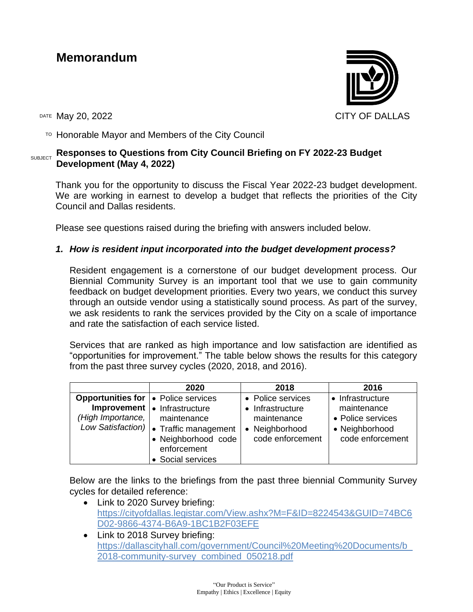# **Memorandum**

DATE May 20, 2022 CITY OF DALLAS

TO Honorable Mayor and Members of the City Council

#### SUBJECT **Responses to Questions from City Council Briefing on FY 2022-23 Budget Development (May 4, 2022)**

Thank you for the opportunity to discuss the Fiscal Year 2022-23 budget development. We are working in earnest to develop a budget that reflects the priorities of the City Council and Dallas residents.

Please see questions raised during the briefing with answers included below.

# *1. How is resident input incorporated into the budget development process?*

Resident engagement is a cornerstone of our budget development process. Our Biennial Community Survey is an important tool that we use to gain community feedback on budget development priorities. Every two years, we conduct this survey through an outside vendor using a statistically sound process. As part of the survey, we ask residents to rank the services provided by the City on a scale of importance and rate the satisfaction of each service listed.

Services that are ranked as high importance and low satisfaction are identified as "opportunities for improvement." The table below shows the results for this category from the past three survey cycles (2020, 2018, and 2016).

|                                                                   | 2020                                                                                                                                               | 2018                                                                                       | 2016                                                                                       |
|-------------------------------------------------------------------|----------------------------------------------------------------------------------------------------------------------------------------------------|--------------------------------------------------------------------------------------------|--------------------------------------------------------------------------------------------|
| <b>Opportunities for  </b> • Police services<br>(High Importance, | Improvement   • Infrastructure<br>maintenance<br>Low Satisfaction)   Traffic management<br>· Neighborhood code<br>enforcement<br>• Social services | • Police services<br>• Infrastructure<br>maintenance<br>• Neighborhood<br>code enforcement | • Infrastructure<br>maintenance<br>• Police services<br>• Neighborhood<br>code enforcement |

Below are the links to the briefings from the past three biennial Community Survey cycles for detailed reference:

- Link to 2020 Survey briefing: [https://cityofdallas.legistar.com/View.ashx?M=F&ID=8224543&GUID=74BC6](https://cityofdallas.legistar.com/View.ashx?M=F&ID=8224543&GUID=74BC6D02-9866-4374-B6A9-1BC1B2F03EFE) [D02-9866-4374-B6A9-1BC1B2F03EFE](https://cityofdallas.legistar.com/View.ashx?M=F&ID=8224543&GUID=74BC6D02-9866-4374-B6A9-1BC1B2F03EFE)
- Link to 2018 Survey briefing: [https://dallascityhall.com/government/Council%20Meeting%20Documents/b\\_](https://dallascityhall.com/government/Council%20Meeting%20Documents/b_2018-community-survey_combined_050218.pdf) [2018-community-survey\\_combined\\_050218.pdf](https://dallascityhall.com/government/Council%20Meeting%20Documents/b_2018-community-survey_combined_050218.pdf)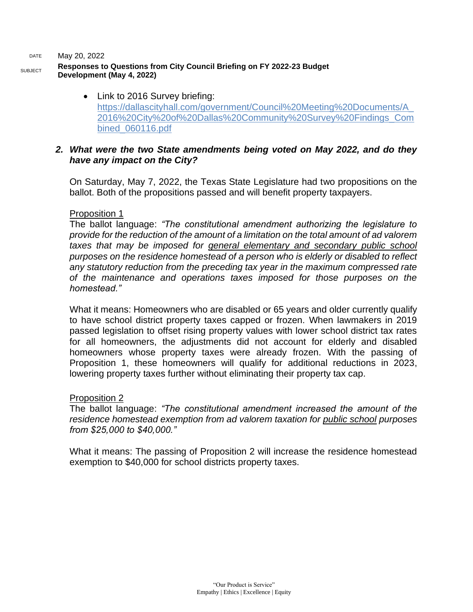#### DATE May 20, 2022

## **Responses to Questions from City Council Briefing on FY 2022-23 Budget Development (May 4, 2022)**

• Link to 2016 Survey briefing: [https://dallascityhall.com/government/Council%20Meeting%20Documents/A\\_](https://dallascityhall.com/government/Council%20Meeting%20Documents/A_2016%20City%20of%20Dallas%20Community%20Survey%20Findings_Combined_060116.pdf) [2016%20City%20of%20Dallas%20Community%20Survey%20Findings\\_Com](https://dallascityhall.com/government/Council%20Meeting%20Documents/A_2016%20City%20of%20Dallas%20Community%20Survey%20Findings_Combined_060116.pdf) [bined\\_060116.pdf](https://dallascityhall.com/government/Council%20Meeting%20Documents/A_2016%20City%20of%20Dallas%20Community%20Survey%20Findings_Combined_060116.pdf)

# *2. What were the two State amendments being voted on May 2022, and do they have any impact on the City?*

On Saturday, May 7, 2022, the Texas State Legislature had two propositions on the ballot. Both of the propositions passed and will benefit property taxpayers.

# Proposition 1

The ballot language: *"The constitutional amendment authorizing the legislature to provide for the reduction of the amount of a limitation on the total amount of ad valorem taxes that may be imposed for general elementary and secondary public school purposes on the residence homestead of a person who is elderly or disabled to reflect any statutory reduction from the preceding tax year in the maximum compressed rate of the maintenance and operations taxes imposed for those purposes on the homestead."*

What it means: Homeowners who are disabled or 65 years and older currently qualify to have school district property taxes capped or frozen. When lawmakers in 2019 passed legislation to offset rising property values with lower school district tax rates for all homeowners, the adjustments did not account for elderly and disabled homeowners whose property taxes were already frozen. With the passing of Proposition 1, these homeowners will qualify for additional reductions in 2023, lowering property taxes further without eliminating their property tax cap.

## Proposition 2

The ballot language: *"The constitutional amendment increased the amount of the residence homestead exemption from ad valorem taxation for public school purposes from \$25,000 to \$40,000."*

What it means: The passing of Proposition 2 will increase the residence homestead exemption to \$40,000 for school districts property taxes.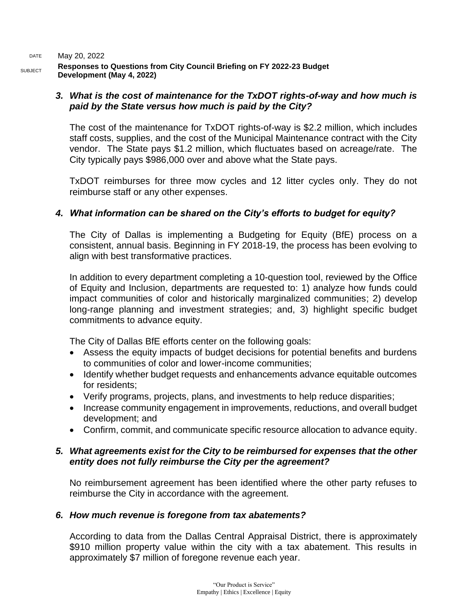DATE May 20, 2022 **Responses to Questions from City Council Briefing on FY 2022-23 Budget Development (May 4, 2022)**

# *3. What is the cost of maintenance for the TxDOT rights-of-way and how much is paid by the State versus how much is paid by the City?*

The cost of the maintenance for TxDOT rights-of-way is \$2.2 million, which includes staff costs, supplies, and the cost of the Municipal Maintenance contract with the City vendor. The State pays \$1.2 million, which fluctuates based on acreage/rate. The City typically pays \$986,000 over and above what the State pays.

TxDOT reimburses for three mow cycles and 12 litter cycles only. They do not reimburse staff or any other expenses.

# *4. What information can be shared on the City's efforts to budget for equity?*

The City of Dallas is implementing a Budgeting for Equity (BfE) process on a consistent, annual basis. Beginning in FY 2018-19, the process has been evolving to align with best transformative practices.

In addition to every department completing a 10-question tool, reviewed by the Office of Equity and Inclusion, departments are requested to: 1) analyze how funds could impact communities of color and historically marginalized communities; 2) develop long-range planning and investment strategies; and, 3) highlight specific budget commitments to advance equity.

The City of Dallas BfE efforts center on the following goals:

- Assess the equity impacts of budget decisions for potential benefits and burdens to communities of color and lower-income communities;
- Identify whether budget requests and enhancements advance equitable outcomes for residents;
- Verify programs, projects, plans, and investments to help reduce disparities;
- Increase community engagement in improvements, reductions, and overall budget development; and
- Confirm, commit, and communicate specific resource allocation to advance equity.

# *5. What agreements exist for the City to be reimbursed for expenses that the other entity does not fully reimburse the City per the agreement?*

No reimbursement agreement has been identified where the other party refuses to reimburse the City in accordance with the agreement.

# *6. How much revenue is foregone from tax abatements?*

According to data from the Dallas Central Appraisal District, there is approximately \$910 million property value within the city with a tax abatement. This results in approximately \$7 million of foregone revenue each year.